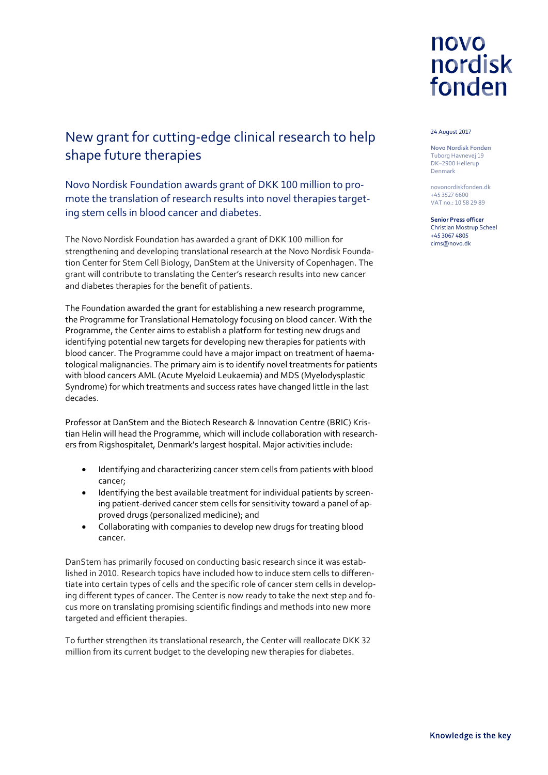

#### 24 August 2017

**Novo Nordisk Fonden** Tuborg Havnevej 19 DK–2900 Hellerup Denmark

novonordiskfonden.dk +45 3527 6600 VAT no.: 10 58 29 89

**Senior Press officer** Christian Mostrup Scheel +45 3067 4805 cims@novo.dk

## New grant for cutting-edge clinical research to help shape future therapies

Novo Nordisk Foundation awards grant of DKK 100 million to promote the translation of research results into novel therapies targeting stem cells in blood cancer and diabetes.

The Novo Nordisk Foundation has awarded a grant of DKK 100 million for strengthening and developing translational research at the Novo Nordisk Foundation Center for Stem Cell Biology, DanStem at the University of Copenhagen. The grant will contribute to translating the Center's research results into new cancer and diabetes therapies for the benefit of patients.

The Foundation awarded the grant for establishing a new research programme, the Programme for Translational Hematology focusing on blood cancer. With the Programme, the Center aims to establish a platform for testing new drugs and identifying potential new targets for developing new therapies for patients with blood cancer. The Programme could have a major impact on treatment of haematological malignancies. The primary aim is to identify novel treatments for patients with blood cancers AML (Acute Myeloid Leukaemia) and MDS (Myelodysplastic Syndrome) for which treatments and success rates have changed little in the last decades.

Professor at DanStem and the Biotech Research & Innovation Centre (BRIC) Kristian Helin will head the Programme, which will include collaboration with researchers from Rigshospitalet, Denmark's largest hospital. Major activities include:

- Identifying and characterizing cancer stem cells from patients with blood cancer;
- Identifying the best available treatment for individual patients by screening patient-derived cancer stem cells for sensitivity toward a panel of approved drugs (personalized medicine); and
- Collaborating with companies to develop new drugs for treating blood cancer.

DanStem has primarily focused on conducting basic research since it was established in 2010. Research topics have included how to induce stem cells to differentiate into certain types of cells and the specific role of cancer stem cells in developing different types of cancer. The Center is now ready to take the next step and focus more on translating promising scientific findings and methods into new more targeted and efficient therapies.

To further strengthen its translational research, the Center will reallocate DKK 32 million from its current budget to the developing new therapies for diabetes.